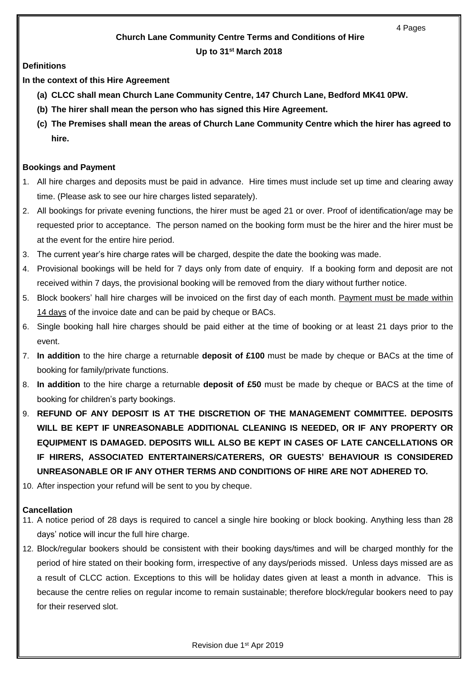# **Church Lane Community Centre Terms and Conditions of Hire**

## **Up to 31st March 2018**

# **Definitions**

**In the context of this Hire Agreement**

- **(a) CLCC shall mean Church Lane Community Centre, 147 Church Lane, Bedford MK41 0PW.**
- **(b) The hirer shall mean the person who has signed this Hire Agreement.**
- **(c) The Premises shall mean the areas of Church Lane Community Centre which the hirer has agreed to hire.**

# **Bookings and Payment**

- 1. All hire charges and deposits must be paid in advance. Hire times must include set up time and clearing away time. (Please ask to see our hire charges listed separately).
- 2. All bookings for private evening functions, the hirer must be aged 21 or over. Proof of identification/age may be requested prior to acceptance. The person named on the booking form must be the hirer and the hirer must be at the event for the entire hire period.
- 3. The current year's hire charge rates will be charged, despite the date the booking was made.
- 4. Provisional bookings will be held for 7 days only from date of enquiry. If a booking form and deposit are not received within 7 days, the provisional booking will be removed from the diary without further notice.
- 5. Block bookers' hall hire charges will be invoiced on the first day of each month. Payment must be made within 14 days of the invoice date and can be paid by cheque or BACs.
- 6. Single booking hall hire charges should be paid either at the time of booking or at least 21 days prior to the event.
- 7. **In addition** to the hire charge a returnable **deposit of £100** must be made by cheque or BACs at the time of booking for family/private functions.
- 8. **In addition** to the hire charge a returnable **deposit of £50** must be made by cheque or BACS at the time of booking for children's party bookings.
- 9. **REFUND OF ANY DEPOSIT IS AT THE DISCRETION OF THE MANAGEMENT COMMITTEE. DEPOSITS WILL BE KEPT IF UNREASONABLE ADDITIONAL CLEANING IS NEEDED, OR IF ANY PROPERTY OR EQUIPMENT IS DAMAGED. DEPOSITS WILL ALSO BE KEPT IN CASES OF LATE CANCELLATIONS OR IF HIRERS, ASSOCIATED ENTERTAINERS/CATERERS, OR GUESTS' BEHAVIOUR IS CONSIDERED UNREASONABLE OR IF ANY OTHER TERMS AND CONDITIONS OF HIRE ARE NOT ADHERED TO.**
- 10. After inspection your refund will be sent to you by cheque.

## **Cancellation**

- 11. A notice period of 28 days is required to cancel a single hire booking or block booking. Anything less than 28 days' notice will incur the full hire charge.
- 12. Block/regular bookers should be consistent with their booking days/times and will be charged monthly for the period of hire stated on their booking form, irrespective of any days/periods missed. Unless days missed are as a result of CLCC action. Exceptions to this will be holiday dates given at least a month in advance. This is because the centre relies on regular income to remain sustainable; therefore block/regular bookers need to pay for their reserved slot.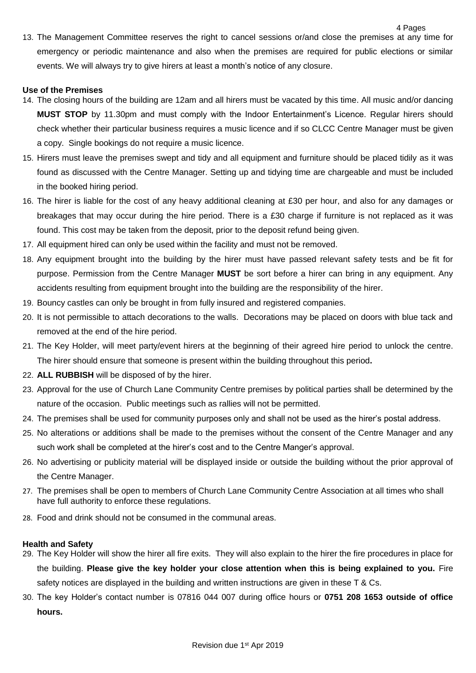13. The Management Committee reserves the right to cancel sessions or/and close the premises at any time for emergency or periodic maintenance and also when the premises are required for public elections or similar events. We will always try to give hirers at least a month's notice of any closure.

4 Pages

#### **Use of the Premises**

- 14. The closing hours of the building are 12am and all hirers must be vacated by this time. All music and/or dancing **MUST STOP** by 11.30pm and must comply with the Indoor Entertainment's Licence. Regular hirers should check whether their particular business requires a music licence and if so CLCC Centre Manager must be given a copy. Single bookings do not require a music licence.
- 15. Hirers must leave the premises swept and tidy and all equipment and furniture should be placed tidily as it was found as discussed with the Centre Manager. Setting up and tidying time are chargeable and must be included in the booked hiring period.
- 16. The hirer is liable for the cost of any heavy additional cleaning at £30 per hour, and also for any damages or breakages that may occur during the hire period. There is a £30 charge if furniture is not replaced as it was found. This cost may be taken from the deposit, prior to the deposit refund being given.
- 17. All equipment hired can only be used within the facility and must not be removed.
- 18. Any equipment brought into the building by the hirer must have passed relevant safety tests and be fit for purpose. Permission from the Centre Manager **MUST** be sort before a hirer can bring in any equipment. Any accidents resulting from equipment brought into the building are the responsibility of the hirer.
- 19. Bouncy castles can only be brought in from fully insured and registered companies.
- 20. It is not permissible to attach decorations to the walls. Decorations may be placed on doors with blue tack and removed at the end of the hire period.
- 21. The Key Holder, will meet party/event hirers at the beginning of their agreed hire period to unlock the centre. The hirer should ensure that someone is present within the building throughout this period**.**
- 22. **ALL RUBBISH** will be disposed of by the hirer.
- 23. Approval for the use of Church Lane Community Centre premises by political parties shall be determined by the nature of the occasion. Public meetings such as rallies will not be permitted.
- 24. The premises shall be used for community purposes only and shall not be used as the hirer's postal address.
- 25. No alterations or additions shall be made to the premises without the consent of the Centre Manager and any such work shall be completed at the hirer's cost and to the Centre Manger's approval.
- 26. No advertising or publicity material will be displayed inside or outside the building without the prior approval of the Centre Manager.
- 27. The premises shall be open to members of Church Lane Community Centre Association at all times who shall have full authority to enforce these regulations.
- 28. Food and drink should not be consumed in the communal areas.

## **Health and Safety**

- 29. The Key Holder will show the hirer all fire exits. They will also explain to the hirer the fire procedures in place for the building. **Please give the key holder your close attention when this is being explained to you.** Fire safety notices are displayed in the building and written instructions are given in these T & Cs.
- 30. The key Holder's contact number is 07816 044 007 during office hours or **0751 208 1653 outside of office hours.**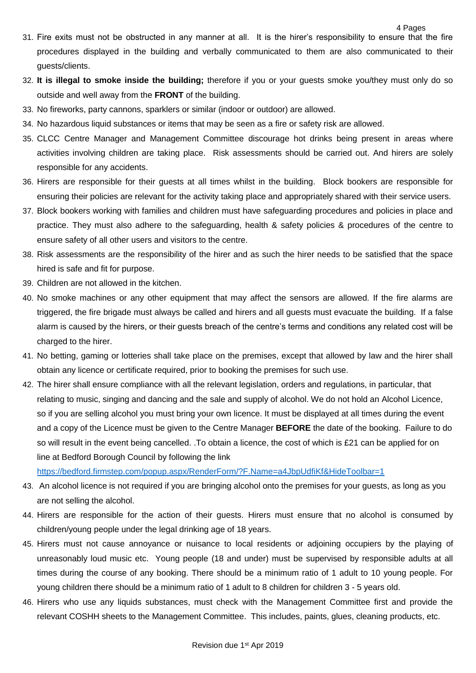- 31. Fire exits must not be obstructed in any manner at all. It is the hirer's responsibility to ensure that the fire procedures displayed in the building and verbally communicated to them are also communicated to their guests/clients.
- 32. **It is illegal to smoke inside the building;** therefore if you or your guests smoke you/they must only do so outside and well away from the **FRONT** of the building.
- 33. No fireworks, party cannons, sparklers or similar (indoor or outdoor) are allowed.
- 34. No hazardous liquid substances or items that may be seen as a fire or safety risk are allowed.
- 35. CLCC Centre Manager and Management Committee discourage hot drinks being present in areas where activities involving children are taking place. Risk assessments should be carried out. And hirers are solely responsible for any accidents.
- 36. Hirers are responsible for their guests at all times whilst in the building. Block bookers are responsible for ensuring their policies are relevant for the activity taking place and appropriately shared with their service users.
- 37. Block bookers working with families and children must have safeguarding procedures and policies in place and practice. They must also adhere to the safeguarding, health & safety policies & procedures of the centre to ensure safety of all other users and visitors to the centre.
- 38. Risk assessments are the responsibility of the hirer and as such the hirer needs to be satisfied that the space hired is safe and fit for purpose.
- 39. Children are not allowed in the kitchen.
- 40. No smoke machines or any other equipment that may affect the sensors are allowed. If the fire alarms are triggered, the fire brigade must always be called and hirers and all guests must evacuate the building. If a false alarm is caused by the hirers, or their guests breach of the centre's terms and conditions any related cost will be charged to the hirer.
- 41. No betting, gaming or lotteries shall take place on the premises, except that allowed by law and the hirer shall obtain any licence or certificate required, prior to booking the premises for such use.
- 42. The hirer shall ensure compliance with all the relevant legislation, orders and regulations, in particular, that relating to music, singing and dancing and the sale and supply of alcohol. We do not hold an Alcohol Licence, so if you are selling alcohol you must bring your own licence. It must be displayed at all times during the event and a copy of the Licence must be given to the Centre Manager **BEFORE** the date of the booking. Failure to do so will result in the event being cancelled. .To obtain a licence, the cost of which is £21 can be applied for on line at Bedford Borough Council by following the link

<https://bedford.firmstep.com/popup.aspx/RenderForm/?F.Name=a4JbpUdfiKf&HideToolbar=1>

- 43. An alcohol licence is not required if you are bringing alcohol onto the premises for your guests, as long as you are not selling the alcohol.
- 44. Hirers are responsible for the action of their guests. Hirers must ensure that no alcohol is consumed by children/young people under the legal drinking age of 18 years.
- 45. Hirers must not cause annoyance or nuisance to local residents or adjoining occupiers by the playing of unreasonably loud music etc. Young people (18 and under) must be supervised by responsible adults at all times during the course of any booking. There should be a minimum ratio of 1 adult to 10 young people. For young children there should be a minimum ratio of 1 adult to 8 children for children 3 - 5 years old.
- 46. Hirers who use any liquids substances, must check with the Management Committee first and provide the relevant COSHH sheets to the Management Committee. This includes, paints, glues, cleaning products, etc.